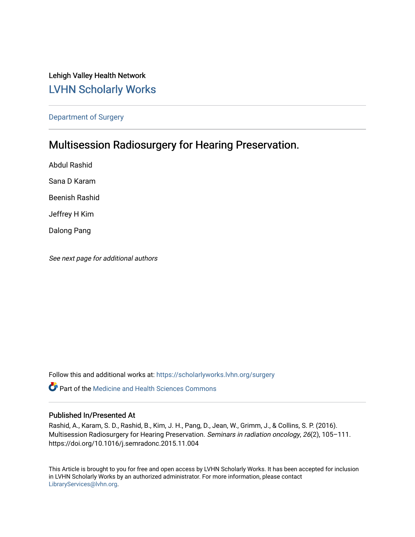# Lehigh Valley Health Network [LVHN Scholarly Works](https://scholarlyworks.lvhn.org/)

[Department of Surgery](https://scholarlyworks.lvhn.org/surgery) 

# Multisession Radiosurgery for Hearing Preservation.

Abdul Rashid Sana D Karam Beenish Rashid Jeffrey H Kim Dalong Pang

See next page for additional authors

Follow this and additional works at: [https://scholarlyworks.lvhn.org/surgery](https://scholarlyworks.lvhn.org/surgery?utm_source=scholarlyworks.lvhn.org%2Fsurgery%2F1629&utm_medium=PDF&utm_campaign=PDFCoverPages)

**C** Part of the Medicine and Health Sciences Commons

#### Published In/Presented At

Rashid, A., Karam, S. D., Rashid, B., Kim, J. H., Pang, D., Jean, W., Grimm, J., & Collins, S. P. (2016). Multisession Radiosurgery for Hearing Preservation. Seminars in radiation oncology, 26(2), 105–111. https://doi.org/10.1016/j.semradonc.2015.11.004

This Article is brought to you for free and open access by LVHN Scholarly Works. It has been accepted for inclusion in LVHN Scholarly Works by an authorized administrator. For more information, please contact [LibraryServices@lvhn.org](mailto:LibraryServices@lvhn.org).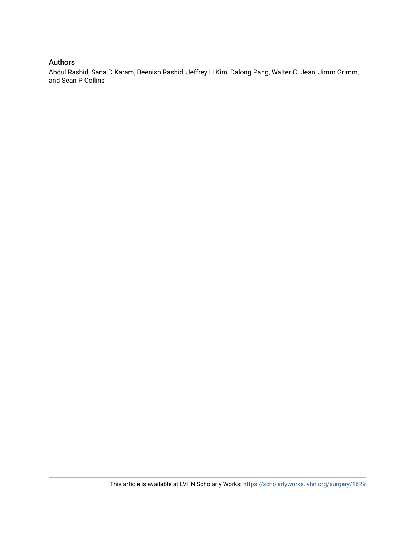#### Authors

Abdul Rashid, Sana D Karam, Beenish Rashid, Jeffrey H Kim, Dalong Pang, Walter C. Jean, Jimm Grimm, and Sean P Collins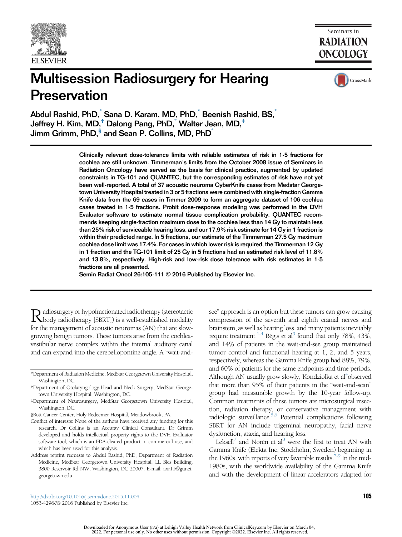

Seminars in **RADIATION ONCOLOGY** 

# Multisession Radiosurgery for Hearing **Preservation**



Abdul Rashid, PhD, Sana D. Karam, MD, PhD, Beenish Rashid, BS, Jeffrey H. Kim, MD,<sup>†</sup> Dalong Pang, PhD,<sup>\*</sup> Walter Jean, MD,<sup>\*</sup> Jimm Grimm, PhD,<sup>§</sup> and Sean P. Collins, MD, PhD

> Clinically relevant dose-tolerance limits with reliable estimates of risk in 1-5 fractions for cochlea are still unknown. Timmerman's limits from the October 2008 issue of Seminars in Radiation Oncology have served as the basis for clinical practice, augmented by updated constraints in TG-101 and QUANTEC, but the corresponding estimates of risk have not yet been well-reported. A total of 37 acoustic neuroma CyberKnife cases from Medstar Georgetown University Hospital treated in 3 or 5 fractions were combined with single-fraction Gamma Knife data from the 69 cases in Timmer 2009 to form an aggregate dataset of 106 cochlea cases treated in 1-5 fractions. Probit dose-response modeling was performed in the DVH Evaluator software to estimate normal tissue complication probability. QUANTEC recommends keeping single-fraction maximum dose to the cochlea less than 14 Gy to maintain less than 25% risk of serviceable hearing loss, and our 17.9% risk estimate for 14 Gy in 1 fraction is within their predicted range. In 5 fractions, our estimate of the Timmerman 27.5 Gy maximum cochlea dose limit was 17.4%. For cases in which lower risk is required, the Timmerman 12 Gy in 1 fraction and the TG-101 limit of 25 Gy in 5 fractions had an estimated risk level of 11.8% and 13.8%, respectively. High-risk and low-risk dose tolerance with risk estimates in 1-5 fractions are all presented.

Semin Radiat Oncol 26:105-111 © 2016 Published by Elsevier Inc.

Radiosurgery or hypofractionated radiotherapy (stereotactic<br>feeds of radiotherapy [SBRT]) is a well-established modality<br>feeds of recording to the continuum of  $(45)$  that an almost for the management of acoustic neuromas (AN) that are slowgrowing benign tumors. These tumors arise from the cochleavestibular nerve complex within the internal auditory canal and can expand into the cerebellopontine angle. A "wait-and-

see" approach is an option but these tumors can grow causing compression of the seventh and eighth cranial nerves and brainstem, as well as hearing loss, and many patients inevitably require treatment. $1.4$  Régis et al<sup>3</sup> found that only 78%, 43%, and 14% of patients in the wait-and-see group maintained tumor control and functional hearing at 1, 2, and 5 years, respectively, whereas the Gamma Knife group had 88%, 79%, and 60% of patients for the same endpoints and time periods. Although AN usually grow slowly, Kondziolka et al<sup>4</sup>observed that more than 95% of their patients in the "wait-and-scan" group had measurable growth by the 10-year follow-up. Common treatments of these tumors are microsurgical resection, radiation therapy, or conservative management with radiologic surveillance.<sup>5,6</sup> Potential complications following SBRT for AN include trigeminal neuropathy, facial nerve dysfunction, ataxia, and hearing loss.

Leksell<sup> $\ell$ </sup> and Norén et al<sup>8</sup> were the first to treat AN with Gamma Knife (Elekta Inc, Stockholm, Sweden) beginning in the 1960s, with reports of very favorable results.<sup>7-9</sup> In the mid-1980s, with the worldwide availability of the Gamma Knife and with the development of linear accelerators adapted for

<http://dx.doi.org/10.1016/j.semradonc.2015.11.004> 105 1053-4296//& 2016 Published by Elsevier Inc.

<sup>\*</sup>Department of Radiation Medicine, MedStar Georgetown University Hospital, Washington, DC.

<sup>†</sup>Department of Otolaryngology-Head and Neck Surgery, MedStar Georgetown University Hospital, Washington, DC.

<sup>‡</sup>Department of Neurosurgery, MedStar Georgetown University Hospital, Washington, DC.

<sup>§</sup>Bott Cancer Center, Holy Redeemer Hospital, Meadowbrook, PA.

Conflict of interests: None of the authors have received any funding for this research. Dr Collins is an Accuray Clinical Consultant. Dr Grimm developed and holds intellectual property rights to the DVH Evaluator software tool, which is an FDA-cleared product in commercial use, and which has been used for this analysis.

Address reprint requests to Abdul Rashid, PhD, Department of Radiation Medicine, MedStar Georgetown University Hospital, LL Bles Building, 3800 Reservoir Rd NW, Washington, DC 20007. E-mail: [axr11@gunet.](mailto:axr11@gunet.georgetown.edu) [georgetown.edu](mailto:axr11@gunet.georgetown.edu)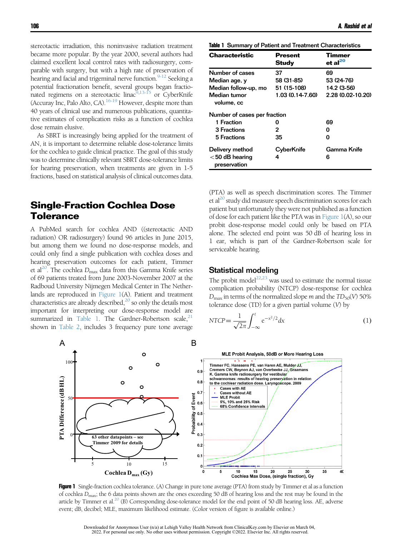<span id="page-3-0"></span>stereotactic irradiation, this noninvasive radiation treatment became more popular. By the year 2000, several authors had claimed excellent local control rates with radiosurgery, comparable with surgery, but with a high rate of preservation of hearing and facial and trigeminal nerve function.<sup>9-12</sup> Seeking a potential fractionation benefit, several groups began fractio-nated regimens on a stereotactic linac<sup>[9,13-15](#page-7-0)</sup> or CyberKnife (Accuray Inc, Palo Alto, CA). $16-19$  However, despite more than 40 years of clinical use and numerous publications, quantitative estimates of complication risks as a function of cochlea dose remain elusive.

As SBRT is increasingly being applied for the treatment of AN, it is important to determine reliable dose-tolerance limits for the cochlea to guide clinical practice. The goal of this study was to determine clinically relevant SBRT dose-tolerance limits for hearing preservation, when treatments are given in 1-5 fractions, based on statistical analysis of clinical outcomes data.

## Single-Fraction Cochlea Dose Tolerance

A PubMed search for cochlea AND ((stereotactic AND radiation) OR radiosurgery) found 96 articles in June 2015, but among them we found no dose-response models, and could only find a single publication with cochlea doses and hearing preservation outcomes for each patient, Timmer et al<sup>20</sup>. The cochlea  $D_{\text{max}}$  data from this Gamma Knife series of 69 patients treated from June 2003-November 2007 at the Radboud University Nijmegen Medical Center in The Netherlands are reproduced in Figure 1(A). Patient and treatment characteristics are already described, $^{20}$  so only the details most important for interpreting our dose-response model are summarized in Table 1. The Gardner-Robertson scale,  $21$ shown in [Table 2,](#page-4-0) includes 3 frequency pure tone average

| <b>Characteristic</b>             | <b>Present</b><br>Study | Timmer<br>et al $^{20}$ |
|-----------------------------------|-------------------------|-------------------------|
|                                   |                         |                         |
| Number of cases                   | 37                      | 69                      |
| Median age, y                     | 58 (31-85)              | 53 (24-76)              |
| Median follow-up, mo              | 51 (15-108)             | 14.2 (3-56)             |
| Median tumor<br>volume, cc        | 1.03 (0.14-7.60)        | 2.28 (0.02-10.20)       |
| Number of cases per fraction      |                         |                         |
| 1 Fraction                        | ი                       | 69                      |
| 3 Fractions                       | 2                       | O                       |
| 5 Fractions                       | 35                      | Ω                       |
| Delivery method                   | CyberKnife              | Gamma Knife             |
| $<$ 50 dB hearing<br>preservation | 4                       | 6                       |

(PTA) as well as speech discrimination scores. The Timmer et al<sup>20</sup> study did measure speech discrimination scores for each patient but unfortunately they were not published as a function of dose for each patient like the PTA was in Figure 1(A), so our probit dose-response model could only be based on PTA alone. The selected end point was 50 dB of hearing loss in 1 ear, which is part of the Gardner-Robertson scale for serviceable hearing.

#### Statistical modeling

The probit model<sup>22,23</sup> was used to estimate the normal tissue complication probability (NTCP) dose-response for cochlea  $D_{\text{max}}$  in terms of the normalized slope *m* and the  $TD_{50}(V)$  50% tolerance dose  $(TD)$  for a given partial volume  $(V)$  by

$$
NTCP = \frac{1}{\sqrt{2\pi}} \int_{-\infty}^{t} e^{-x^2/2} dx
$$
 (1)



Figure 1 Single-fraction cochlea tolerance. (A) Change in pure tone average (PTA) from study by Timmer et al as a function of cochlea  $D_{\text{max}}$ ; the 6 data points shown are the ones exceeding 50 dB of hearing loss and the rest may be found in the article by Timmer et al.<sup>20</sup> (B) Corresponding dose-tolerance model for the end point of 50 dB hearing loss. AE, adverse event; dB, decibel; MLE, maximum likelihood estimate. (Color version of figure is available online.)

Downloaded for Anonymous User (n/a) at Lehigh Valley Health Network from ClinicalKey.com by Elsevier on March 04, 2022. For personal use only. No other uses without permission. Copyright ©2022. Elsevier Inc. All rights res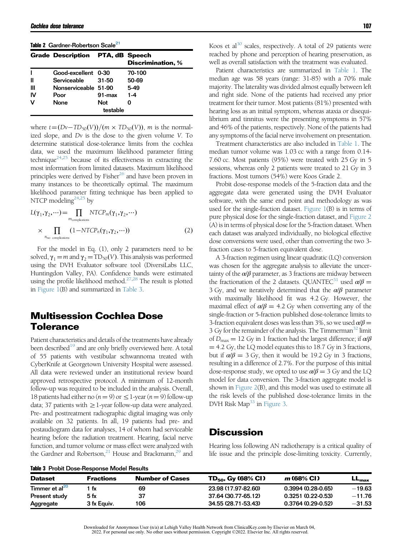<span id="page-4-0"></span>

| Table 2 Gardner-Robertson Scale <sup>21</sup> |  |
|-----------------------------------------------|--|
|                                               |  |

|                | <b>Grade Description PTA, dB Speech</b> |            | <b>Discrimination, %</b> |  |
|----------------|-----------------------------------------|------------|--------------------------|--|
|                | Good-excellent 0-30                     |            | 70-100                   |  |
| Ш              | Serviceable                             | $31 - 50$  | 50-69                    |  |
| $\mathbf{III}$ | Nonserviceable 51-90                    |            | 5-49                     |  |
| <b>IV</b>      | Poor                                    | $91 - max$ | $1 - 4$                  |  |
| v              | None                                    | <b>Not</b> | O                        |  |
| testable       |                                         |            |                          |  |

where  $t = (Dv - TD_{50}(V))/(m \times TD_{50}(V))$ , m is the normalized slope, and Dv is the dose to the given volume V. To determine statistical dose-tolerance limits from the cochlea data, we used the maximum likelihood parameter fitting technique<sup>24,25</sup> because of its effectiveness in extracting the most information from limited datasets. Maximum likelihood principles were derived by Fisher<sup>26</sup> and have been proven in many instances to be theoretically optimal. The maximum likelihood parameter fitting technique has been applied to NTCP modeling $24,25$  by

$$
L(\gamma_1, \gamma_2, \cdots) = \prod_{m_{\text{complications}}} NTCP_m(\gamma_1, \gamma_2, \cdots)
$$
  
 
$$
\times \prod_{n_{\text{no compleations}}} (1 - NTCP_n(\gamma_1, \gamma_2, \cdots))
$$
 (2)

For the model in Eq. (1), only 2 parameters need to be solved,  $\gamma_1 = m$  and  $\gamma_2 = TD_{50}(V)$ . This analysis was performed using the DVH Evaluator software tool (DiversiLabs LLC, Huntingdon Valley, PA). Confidence bands were estimated using the profile likelihood method.<sup>27,28</sup> The result is plotted in [Figure 1](#page-3-0)(B) and summarized in Table 3.

## Multisession Cochlea Dose **Tolerance**

Patient characteristics and details of the treatments have already been described<sup>19</sup> and are only briefly overviewed here. A total of 55 patients with vestibular schwannoma treated with CyberKnife at Georgetown University Hospital were assessed. All data were reviewed under an institutional review board approved retrospective protocol. A minimum of 12-month follow-up was required to be included in the analysis. Overall, 18 patients had either no ( $n = 9$ ) or  $\leq$  1-year ( $n = 9$ ) follow-up data; 37 patients with  $\geq$  1-year follow-up data were analyzed. Pre- and posttreatment radiographic digital imaging was only available on 32 patients. In all, 19 patients had pre- and postaudiogram data for analyses, 14 of whom had serviceable hearing before the radiation treatment. Hearing, facial nerve function, and tumor volume or mass effect were analyzed with the Gardner and Robertson,<sup>[21](#page-7-0)</sup> House and Brackmann,<sup>29</sup> and Koos et al<sup>[30](#page-7-0)</sup> scales, respectively. A total of 29 patients were reached by phone and perception of hearing preservation, as well as overall satisfaction with the treatment was evaluated.

Patient characteristics are summarized in [Table 1.](#page-3-0) The median age was 58 years (range: 31-85) with a 70% male majority. The laterality was divided almost equally between left and right side. None of the patients had received any prior treatment for their tumor. Most patients (81%) presented with hearing loss as an initial symptom, whereas ataxia or disequilibrium and tinnitus were the presenting symptoms in 57% and 46% of the patients, respectively. None of the patients had any symptoms of the facial nerve involvement on presentation.

Treatment characteristics are also included in [Table 1](#page-3-0). The median tumor volume was 1.03 cc with a range from 0.14- 7.60 cc. Most patients (95%) were treated with 25 Gy in 5 sessions, whereas only 2 patients were treated to 21 Gy in 3 fractions. Most tumors (54%) were Koos Grade 2.

Probit dose-response models of the 5-fraction data and the aggregate data were generated using the DVH Evaluator software, with the same end point and methodology as was used for the single-fraction dataset. Figure  $1(B)$  is in terms of pure physical dose for the single-fraction dataset, and [Figure 2](#page-5-0) (A) is in terms of physical dose for the 5-fraction dataset. When each dataset was analyzed individually, no biological effective dose conversions were used, other than converting the two 3 fraction cases to 5-fraction equivalent dose.

A 3-fraction regimen using linear quadratic (LQ) conversion was chosen for the aggregate analysis to alleviate the uncertainty of the  $\alpha/\beta$  parameter, as 3 fractions are midway between the fractionation of the 2 datasets. QUANTEC<sup>31</sup> used  $\alpha/\beta =$ 3 Gy, and we iteratively determined that the  $\alpha/\beta$  parameter with maximally likelihood fit was 4.2 Gy. However, the maximal effect of  $\alpha/\beta = 4.2$  Gy when converting any of the single-fraction or 5-fraction published dose-tolerance limits to 3-fraction equivalent doses was less than 3%, so we used  $\alpha/\beta =$ 3 Gy for the remainder of the analysis. The Timmerman<sup>[32](#page-7-0)</sup> limit of  $D_{\text{max}} = 12$  Gy in 1 fraction had the largest difference; if  $\alpha/\beta$  $=$  4.2 Gy, the LQ model equates this to 18.7 Gy in 3 fractions, but if  $\alpha/\beta = 3$  Gy, then it would be 19.2 Gy in 3 fractions, resulting in a difference of 2.7%. For the purpose of this initial dose-response study, we opted to use  $\alpha/\beta = 3$  Gy and the LQ model for data conversion. The 3-fraction aggregate model is shown in [Figure 2](#page-5-0)(B), and this model was used to estimate all the risk levels of the published dose-tolerance limits in the DVH Risk Map<sup>33</sup> in [Figure 3](#page-6-0).

#### **Discussion**

Hearing loss following AN radiotherapy is a critical quality of life issue and the principle dose-limiting toxicity. Currently,

| <b>Dataset</b>             | <b>Fractions</b> | <b>Number of Cases</b> | $TD_{50}$ , Gy (68% CI) | <i>m</i> (68% CI)   | $LL_{\rm max}$ |
|----------------------------|------------------|------------------------|-------------------------|---------------------|----------------|
| Timmer et al <sup>20</sup> | fx               | 69                     | 23.98 (17.97-82.60)     | $0.3994(0.28-0.65)$ | $-19.63$       |
| Present study              | 5 fx             | 37                     | 37.64 (30.77-65.12)     | $0.3251(0.22-0.53)$ | $-11.76$       |
| Aggregate                  | 3 fx Equiv.      | 106                    | 34.55 (28.71-53.43)     | $0.3764(0.29-0.52)$ | $-31.53$       |

Table 3 Probit Dose-Response Model Results

| Downloaded for Anonymous User (n/a) at Lehigh Valley Health Network from ClinicalKey.com by Elsevier on March 04,  |  |
|--------------------------------------------------------------------------------------------------------------------|--|
| 2022. For personal use only. No other uses without permission. Copyright ©2022. Elsevier Inc. All rights reserved. |  |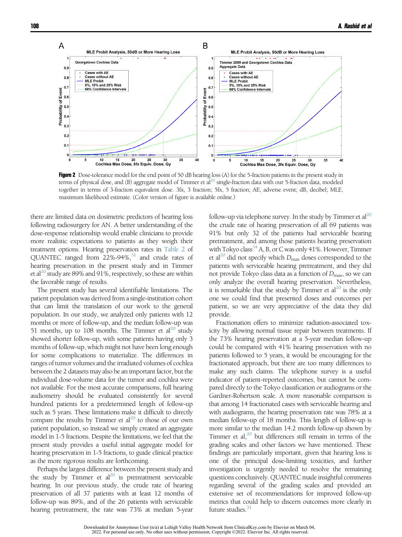<span id="page-5-0"></span>

Figure 2 Dose-tolerance model for the end point of 50 dB hearing loss (A) for the 5-fraction patients in the present study in terms of physical dose, and (B) aggregate model of Timmer et  $a^{20}$  single-fraction data with our 5-fraction data, modeled together in terms of 3-fraction equivalent dose. 3fx, 3 fraction; 5fx, 5 fraction; AE, adverse event; dB, decibel; MLE, maximum likelihood estimate. (Color version of figure is available online.)

there are limited data on dosimetric predictors of hearing loss following radiosurgery for AN. A better understanding of the dose-response relationship would enable clinicians to provide more realistic expectations to patients as they weigh their treatment options. Hearing preservation rates in [Table 2](#page-4-0) of QUANTEC ranged from  $22\%$ -94%, $31$  and crude rates of hearing preservation in the present study and in Timmer et al<sup>20</sup> study are 89% and 91%, respectively, so these are within the favorable range of results.

The present study has several identifiable limitations. The patient population was derived from a single-institution cohort that can limit the translation of our work to the general population. In our study, we analyzed only patients with 12 months or more of follow-up, and the median follow-up was 51 months, up to 108 months. The Timmer et al<sup>[20](#page-7-0)</sup> study showed shorter follow-up, with some patients having only 3 months of follow-up, which might not have been long enough for some complications to materialize. The differences in ranges of tumor volumes and the irradiated volumes of cochlea between the 2 datasets may also be an important factor, but the individual dose-volume data for the tumor and cochlea were not available. For the most accurate comparisons, full hearing audiometry should be evaluated consistently for several hundred patients for a predetermined length of follow-up such as 5 years. These limitations make it difficult to directly compare the results by Timmer et  $al^{20}$  to those of our own patient population, so instead we simply created an aggregate model in 1-5 fractions. Despite the limitations, we feel that the present study provides a useful initial aggregate model for hearing preservation in 1-5 fractions, to guide clinical practice as the more rigorous results are forthcoming.

Perhaps the largest difference between the present study and the study by Timmer et  $al^{20}$  is pretreatment serviceable hearing. In our previous study, the crude rate of hearing preservation of all 37 patients with at least 12 months of follow-up was 89%, and of the 26 patients with serviceable hearing pretreatment, the rate was 73% at median 5-year

follow-up via telephone survey. In the study by Timmer et  $al^{20}$ the crude rate of hearing preservation of all 69 patients was 91% but only 32 of the patients had serviceable hearing pretreatment, and among those patients hearing preservation with Tokyo class<sup>34</sup> A, B, or C was only 41%. However, Timmer et al<sup>20</sup> did not specify which  $D_{\text{max}}$  doses corresponded to the patients with serviceable hearing pretreatment, and they did not provide Tokyo class data as a function of  $D_{\text{max}}$ , so we can only analyze the overall hearing preservation. Nevertheless, it is remarkable that the study by Timmer et  $al^{20}$  is the only one we could find that presented doses and outcomes per patient, so we are very appreciative of the data they did provide.

Fractionation offers to minimize radiation-associated toxicity by allowing normal tissue repair between treatments. If the 73% hearing preservation at a 5-year median follow-up could be compared with 41% hearing preservation with no patients followed to 5 years, it would be encouraging for the fractionated approach, but there are too many differences to make any such claims. The telephone survey is a useful indicator of patient-reported outcomes, but cannot be compared directly to the Tokyo classification or audiograms or the Gardner-Robertson scale. A more reasonable comparison is that among 14 fractionated cases with serviceable hearing and with audiograms, the hearing preservation rate was 78% at a median follow-up of 18 months. This length of follow-up is more similar to the median 14.2 month follow-up shown by Timmer et al, $^{20}$  but differences still remain in terms of the grading scales and other factors we have mentioned. These findings are particularly important, given that hearing loss is one of the principal dose-limiting toxicities, and further investigation is urgently needed to resolve the remaining questions conclusively. QUANTEC made insightful comments regarding several of the grading scales and provided an extensive set of recommendations for improved follow-up metrics that could help to discern outcomes more clearly in future studies. $31$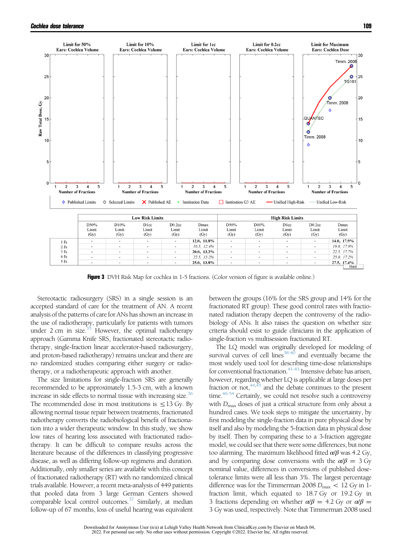<span id="page-6-0"></span>

**Figure 3** DVH Risk Map for cochlea in 1-5 fractions. (Color version of figure is available online.)

Stereotactic radiosurgery (SRS) in a single session is an accepted standard of care for the treatment of AN. A recent analysis of the patterns of care for ANs has shown an increase in the use of radiotherapy, particularly for patients with tumors under  $2 \text{ cm}$  in size.<sup>[35](#page-7-0)</sup> However, the optimal radiotherapy approach (Gamma Knife SRS, fractionated stereotactic radiotherapy, single-fraction linear accelerator-based radiosurgery, and proton-based radiotherapy) remains unclear and there are no randomized studies comparing either surgery or radiotherapy, or a radiotherapeutic approach with another.

The size limitations for single-fraction SRS are generally recommended to be approximately 1.5-3 cm, with a known increase in side effects to normal tissue with increasing size.<sup>36</sup> The recommended dose in most institutions is  $\leq$ 13 Gy. By allowing normal tissue repair between treatments, fractionated radiotherapy converts the radiobiological benefit of fractionation into a wider therapeutic window. In this study, we show low rates of hearing loss associated with fractionated radiotherapy. It can be difficult to compare results across the literature because of the differences in classifying progressive disease, as well as differing follow-up regimens and duration. Additionally, only smaller series are available with this concept of fractionated radiotherapy (RT) with no randomized clinical trials available. However, a recent meta-analysis of 449 patients that pooled data from 3 large German Centers showed comparable local control outcomes.<sup>37</sup> Similarly, at median follow-up of 67 months, loss of useful hearing was equivalent between the groups (16% for the SRS group and 14% for the fractionated RT group). These good control rates with fractionated radiation therapy deepen the controversy of the radiobiology of ANs. It also raises the question on whether size criteria should exist to guide clinicians in the application of single-fraction vs multisession fractionated RT.

The LQ model was originally developed for modeling of survival curves of cell lines<sup>38-40</sup> and eventually became the most widely used tool for describing time-dose relationships for conventional fractionation. $41-43$  Intensive debate has arisen, however, regarding whether LQ is applicable at large doses per fraction or not,  $44,45$  and the debate continues to the present time. $46-54$  Certainly, we could not resolve such a controversy with  $D_{\text{max}}$  doses of just a critical structure from only about a hundred cases. We took steps to mitigate the uncertainty, by first modeling the single-fraction data in pure physical dose by itself and also by modeling the 5-fraction data in physical dose by itself. Then by comparing these to a 3-fraction aggregate model, we could see that there were some differences, but none too alarming. The maximum likelihood fitted  $\alpha/\beta$  was 4.2 Gy, and by comparing dose conversions with the  $\alpha/\beta = 3$  Gy nominal value, differences in conversions of published dosetolerance limits were all less than 3%. The largest percentage difference was for the Timmerman 2008  $D_{\text{max}} < 12 \text{ Gy}$  in 1fraction limit, which equated to 18.7 Gy or 19.2 Gy in 3 fractions depending on whether  $\alpha/\beta = 4.2$  Gy or  $\alpha/\beta =$ 3 Gy was used, respectively. Note that Timmerman 2008 used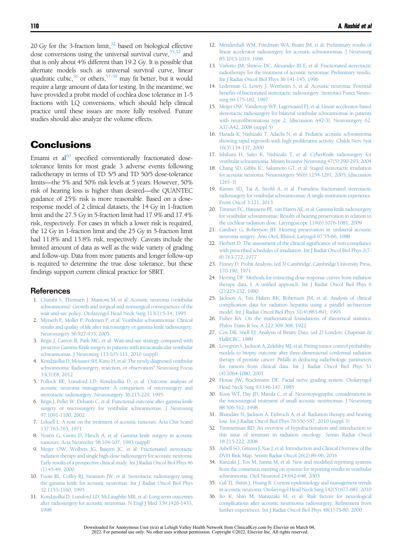<span id="page-7-0"></span>20 Gy for the 3-fraction limit, $32$  based on biological effective dose conversions using the universal survival curve,  $55,32$  and that is only about 4% different than 19.2 Gy. It is possible that alternate models such as universal survival curve, linear quadratic cubic,<sup>[56](#page-8-0)</sup> or others,<sup>57-59</sup> may fit better, but it would require a large amount of data for testing. In the meantime, we have provided a probit model of cochlea dose tolerance in 1-5 fractions with LQ conversions, which should help clinical practice until these issues are more fully resolved. Future studies should also analyze the volume effects.

### **Conclusions**

Emami et  $al^{60}$  specified conventionally fractionated dosetolerance limits for most grade 3 adverse events following radiotherapy in terms of TD 5/5 and TD 50/5 dose-tolerance limits—the 5% and 50% risk levels at 5 years. However, 50% risk of hearing loss is higher than desired—the QUANTEC guidance of 25% risk is more reasonable. Based on a doseresponse model of 2 clinical datasets, the 14 Gy in 1-fraction limit and the 27.5 Gy in 5-fraction limit had 17.9% and 17.4% risk, respectively. For cases in which a lower risk is required, the 12 Gy in 1-fraction limit and the 25 Gy in 5-fraction limit had 11.8% and 13.8% risk, respectively. Caveats include the limited amount of data as well as the wide variety of grading and follow-up. Data from more patients and longer follow-up is required to determine the true dose tolerance, but these findings support current clinical practice for SBRT.

#### **References**

- 1. [Charabi S, Thomsen J, Mantoni M, et al: Acoustic neuroma \(vestibular](http://refhub.elsevier.com/S1053-4296(15)00113-7/sbref1) [schwannoma\): Growth and surgical and nonsurgical consequences of the](http://refhub.elsevier.com/S1053-4296(15)00113-7/sbref1) [wait-and-see policy. Otolaryngol Head Neck Surg 113\(1\):5-14, 1995](http://refhub.elsevier.com/S1053-4296(15)00113-7/sbref1)
- 2. [Myrseth E, Moller P, Pedersen P, et al: Vestibular schwannomas: Clinical](http://refhub.elsevier.com/S1053-4296(15)00113-7/sbref2) [results and quality of life after microsurgery or gamma knife radiosurgery.](http://refhub.elsevier.com/S1053-4296(15)00113-7/sbref2) [Neurosurgery 56:927-935, 2005](http://refhub.elsevier.com/S1053-4296(15)00113-7/sbref2)
- 3. [Régis J, Carron R, Park MC, et al: Wait-and-see strategy compared with](http://refhub.elsevier.com/S1053-4296(15)00113-7/sbref3) [proactive Gamma Knife surgery in patients with intracanalicular vestibular](http://refhub.elsevier.com/S1053-4296(15)00113-7/sbref3) [schwannomas. J Neurosurg 113:105-111, 2010 \(suppl\)](http://refhub.elsevier.com/S1053-4296(15)00113-7/sbref3)
- 4. [Kondziolka D, Mousavi SH, Kano H, et al: The newly diagnosed vestibular](http://refhub.elsevier.com/S1053-4296(15)00113-7/sbref4) [schwannoma: Radiosurgery, resection, or observation? Neurosurg Focus](http://refhub.elsevier.com/S1053-4296(15)00113-7/sbref4) [33\(3\):E8, 2012](http://refhub.elsevier.com/S1053-4296(15)00113-7/sbref4)
- 5. [Pollock BE, Lunsford LD, Kondziolka D, et al: Outcome analysis of](http://refhub.elsevier.com/S1053-4296(15)00113-7/sbref5) [acoustic neuroma management: A comparison of microsurgery and](http://refhub.elsevier.com/S1053-4296(15)00113-7/sbref5) [stereotactic radiosurgery. Neurosurgery 36:215-229, 1995](http://refhub.elsevier.com/S1053-4296(15)00113-7/sbref5)
- 6. [Régis J, Pellet W, Delsanti C, et al: Functional outcome after gamma knife](http://refhub.elsevier.com/S1053-4296(15)00113-7/sbref6) [surgery or microsurgery for vestibular schwannomas. J Neurosurg](http://refhub.elsevier.com/S1053-4296(15)00113-7/sbref6) [97:1091-1100, 2002](http://refhub.elsevier.com/S1053-4296(15)00113-7/sbref6)
- 7. [Leksell L: A note on the treatment of](http://refhub.elsevier.com/S1053-4296(15)00113-7/sbref7) acoustic tumours. Acta Chir Scand [137:763-765, 1971](http://refhub.elsevier.com/S1053-4296(15)00113-7/sbref7)
- 8. [Norén G, Greitz D, Hirsch A, et al: Gamma knife surgery in acoustic](http://refhub.elsevier.com/S1053-4296(15)00113-7/sbref8) [tumours. Acta Neurochir 58:104-107, 1993 \(suppl\)](http://refhub.elsevier.com/S1053-4296(15)00113-7/sbref8)
- 9. [Meijer OW, Wolbers JG, Baayen JC, et al: Fractionated stereotactic](http://refhub.elsevier.com/S1053-4296(15)00113-7/sbref9) [radiation therapy and single high-dose](http://refhub.elsevier.com/S1053-4296(15)00113-7/sbref9) radiosurgery for acoustic neuroma: [Early results of a prospective clinical study. Int J Radiat Oncol Biol Phys 46](http://refhub.elsevier.com/S1053-4296(15)00113-7/sbref9) [\(1\):45-49, 2000](http://refhub.elsevier.com/S1053-4296(15)00113-7/sbref9)
- 10. [Foote RL, Coffey RJ, Swanson JW, et al: Stereotactic radiosurgery using](http://refhub.elsevier.com/S1053-4296(15)00113-7/sbref10) [the gamma knife for acoustic neuromas. Int J Radiat Oncol Biol Phys](http://refhub.elsevier.com/S1053-4296(15)00113-7/sbref10) [32:1153-1160, 1995](http://refhub.elsevier.com/S1053-4296(15)00113-7/sbref10)
- 11. [Kondziolka D, Lunsford LD, McLaughlin MR, et al: Long-term outcomes](http://refhub.elsevier.com/S1053-4296(15)00113-7/sbref11) after radiosurgery for acoustic [neuromas. N Engl J Med 339:1426-1433,](http://refhub.elsevier.com/S1053-4296(15)00113-7/sbref11) [1998](http://refhub.elsevier.com/S1053-4296(15)00113-7/sbref11)
- 12. [Mendenhall WM, Friedman WA, Buatti JM, et al: Preliminary results of](http://refhub.elsevier.com/S1053-4296(15)00113-7/sbref12) [linear accelerator radiosurgery for acoustic schwannomas. J Neurosurg](http://refhub.elsevier.com/S1053-4296(15)00113-7/sbref12) [85:1013-1019, 1996](http://refhub.elsevier.com/S1053-4296(15)00113-7/sbref12)
- 13. [Varlotto JM, Shrieve DC, Alexander III](http://refhub.elsevier.com/S1053-4296(15)00113-7/sbref13) E, et al: Fractionated stereotactic [radiotherapy for the treatment of acoustic neuromas: Preliminary results.](http://refhub.elsevier.com/S1053-4296(15)00113-7/sbref13) [Int J Radiat Oncol Biol Phys 36:141-145, 1996](http://refhub.elsevier.com/S1053-4296(15)00113-7/sbref13)
- 14. [Lederman G, Lowry J, Wertheim S, et al: Acoustic neuroma: Potential](http://refhub.elsevier.com/S1053-4296(15)00113-7/sbref14) benefi[ts of fractionated stereotactic radiosurgery. Stereotact Funct Neuro](http://refhub.elsevier.com/S1053-4296(15)00113-7/sbref14)[surg 69:175-182, 1997](http://refhub.elsevier.com/S1053-4296(15)00113-7/sbref14)
- 15. [Meijer OW, Vandertop WP, Lagerwaard FJ, et al: Linear accelerator-based](http://refhub.elsevier.com/S1053-4296(15)00113-7/sbref15) [stereotactic radiosurgery for bilateral vestibular schwannomas in patients](http://refhub.elsevier.com/S1053-4296(15)00113-7/sbref15) with neurofi[bromatosis type 2; \[discussion A42-3\]. Neurosurgery 62:](http://refhub.elsevier.com/S1053-4296(15)00113-7/sbref15) [A37-A42, 2008 \(suppl 5\)](http://refhub.elsevier.com/S1053-4296(15)00113-7/sbref15)
- 16. [Harada K, Nishizaki T, Adachi N, et al: Pediatric acoustic schwannoma](http://refhub.elsevier.com/S1053-4296(15)00113-7/sbref16) [showing rapid regrowth with high proliferative activity. Childs Nerv Syst](http://refhub.elsevier.com/S1053-4296(15)00113-7/sbref16) [16\(3\):134-137, 2000](http://refhub.elsevier.com/S1053-4296(15)00113-7/sbref16)
- 17. [Ishihara H, Saito K, Nishizaki T, et al: CyberKnife radiosurgery for](http://refhub.elsevier.com/S1053-4296(15)00113-7/sbref17) [vestibular schwannoma. Minim Invasive Neurosurg 47\(5\):290-293, 2004](http://refhub.elsevier.com/S1053-4296(15)00113-7/sbref17)
- 18. [Chang SD, Gibbs IC, Sakamoto GT, et al: Staged stereotactic irradiation](http://refhub.elsevier.com/S1053-4296(15)00113-7/sbref18) [for acoustic neuroma. Neurosurgery 56\(6\):1254-1261, 2005; \[discussion](http://refhub.elsevier.com/S1053-4296(15)00113-7/sbref18) [1261-3\]](http://refhub.elsevier.com/S1053-4296(15)00113-7/sbref18)
- 19. [Karam SD, Tai A, Strohl A, et al: Frameless fractionated stereotactic](http://refhub.elsevier.com/S1053-4296(15)00113-7/sbref19) [radiosurgery for vestibular schwannomas: A single-institution experience.](http://refhub.elsevier.com/S1053-4296(15)00113-7/sbref19) [Front Oncol 3:121, 2013](http://refhub.elsevier.com/S1053-4296(15)00113-7/sbref19)
- 20. [Timmer FC, Hanssens PE, van Haren AE, et al: Gamma knife radiosurgery](http://refhub.elsevier.com/S1053-4296(15)00113-7/sbref20) [for vestibular schwannomas: Results of hearing preservation in relation to](http://refhub.elsevier.com/S1053-4296(15)00113-7/sbref20) [the cochlear radiation dose. Laryngoscope 119\(6\):1076-1081, 2009](http://refhub.elsevier.com/S1053-4296(15)00113-7/sbref20)
- 21. [Gardner G, Robertson JH: Hearing preservation in unilateral acoustic](http://refhub.elsevier.com/S1053-4296(15)00113-7/sbref21) [neuroma surgery. Ann Otol, Rhinol, Laryngol 97:55-66, 1988](http://refhub.elsevier.com/S1053-4296(15)00113-7/sbref21)
- 22. [Herbert D: The assessment of the clinical signi](http://refhub.elsevier.com/S1053-4296(15)00113-7/sbref22)ficance of non-compliance [with prescribed schedules of irradiation. Int J Radiat Oncol Biol Phys 2\(7-](http://refhub.elsevier.com/S1053-4296(15)00113-7/sbref22) [8\):763-772, 1977](http://refhub.elsevier.com/S1053-4296(15)00113-7/sbref22)
- 23. [Finney D: Probit Analysis, \(ed 3\) Cambridge, Cambridge University Press,](http://refhub.elsevier.com/S1053-4296(15)00113-7/sbref23) [170-190, 1971](http://refhub.elsevier.com/S1053-4296(15)00113-7/sbref23)
- 24. [Herring DF: Methods for extracting dose-response curves from radiation](http://refhub.elsevier.com/S1053-4296(15)00113-7/sbref24) therapy data, I: A unifi[ed approach. Int J Radiat Oncol Biol Phys 6](http://refhub.elsevier.com/S1053-4296(15)00113-7/sbref24) [\(2\):225-232, 1980](http://refhub.elsevier.com/S1053-4296(15)00113-7/sbref24)
- 25. [Jackson A, Ten Haken RK, Robertson JM, et al: Analysis of clinical](http://refhub.elsevier.com/S1053-4296(15)00113-7/sbref25) [complication data for radiation hepatitis using a parallel architecture](http://refhub.elsevier.com/S1053-4296(15)00113-7/sbref25) [model. Int J Radiat Oncol Biol Phys 31\(4\):883-891, 1995](http://refhub.elsevier.com/S1053-4296(15)00113-7/sbref25)
- 26. [Fisher RA: On the mathematical foundations of theoretical statistics.](http://refhub.elsevier.com/S1053-4296(15)00113-7/sbref26) [Philos Trans R Soc A 222:309-368, 1922](http://refhub.elsevier.com/S1053-4296(15)00113-7/sbref26)
- 27. [Cox DR, Snell EJ: Analysis of Binary Data, \(ed 2\) London: Chapman](http://refhub.elsevier.com/S1053-4296(15)00113-7/sbref27) & [Hall/CRC, 1989](http://refhub.elsevier.com/S1053-4296(15)00113-7/sbref27)
- 28. [Levegrün S, Jackson A, Zelefsky MJ, et al: Fitting tumor control probability](http://refhub.elsevier.com/S1053-4296(15)00113-7/sbref28) [models to biopsy outcome after three-dimensional conformal radiation](http://refhub.elsevier.com/S1053-4296(15)00113-7/sbref28) [therapy of prostate cancer: Pitfalls in deducing radiobiologic parameters](http://refhub.elsevier.com/S1053-4296(15)00113-7/sbref28) [for tumors from clinical data. Int J Radiat Oncol Biol Phys 51](http://refhub.elsevier.com/S1053-4296(15)00113-7/sbref28) [\(4\):1064-1080, 2001](http://refhub.elsevier.com/S1053-4296(15)00113-7/sbref28)
- 29. [House JW, Brackmann DE: Facial nerve grading system. Otolaryngol](http://refhub.elsevier.com/S1053-4296(15)00113-7/sbref29) [Head Neck Surg 93:146-147, 1985](http://refhub.elsevier.com/S1053-4296(15)00113-7/sbref29)
- 30. [Koos WT, Day JD, Matula C, et al: Neurotopographic considerations in](http://refhub.elsevier.com/S1053-4296(15)00113-7/sbref30) [the microsurgical treatment of small acoustic neurinomas. J Neurosurg](http://refhub.elsevier.com/S1053-4296(15)00113-7/sbref30) [88:506-512, 1998](http://refhub.elsevier.com/S1053-4296(15)00113-7/sbref30)
- 31. [Bhandare N, Jackson A, Eisbruch A, et al: Radiation therapy and hearing](http://refhub.elsevier.com/S1053-4296(15)00113-7/sbref31) [loss. Int J Radiat Oncol Biol Phys 76:S50-S57, 2010 \(suppl 3\)](http://refhub.elsevier.com/S1053-4296(15)00113-7/sbref31)
- 32. [Timmerman RD: An overview of hypofractionation and introduction to](http://refhub.elsevier.com/S1053-4296(15)00113-7/sbref32) [this issue of seminars in radiation oncology. Semin Radiat Oncol](http://refhub.elsevier.com/S1053-4296(15)00113-7/sbref32) [18:215-222, 2008](http://refhub.elsevier.com/S1053-4296(15)00113-7/sbref32)
- 33. [Asbell SO, Grimm J, Xue J, et al: Introduction and Clinical Overview of the](http://refhub.elsevier.com/S1053-4296(15)00113-7/sbref60) [DVH Risk Map. Semin Radiat Oncol 26\(2\):89-96, 2016](http://refhub.elsevier.com/S1053-4296(15)00113-7/sbref60)
- 34. [Kanzaki J, Tos M, Sanna M, et al: New and modi](http://refhub.elsevier.com/S1053-4296(15)00113-7/sbref33)fied reporting systems [from the consensus meeting on systems](http://refhub.elsevier.com/S1053-4296(15)00113-7/sbref33) for reporting results in vestibular [schwannoma. Otol Neurotol 24:642-648, 2003](http://refhub.elsevier.com/S1053-4296(15)00113-7/sbref33)
- 35. [Gal TJ, Shinn J, Huang B: Current epidemiology and management trends](http://refhub.elsevier.com/S1053-4296(15)00113-7/sbref34) [in acoustic neuroma. Otolaryngol Head Neck Surg 142\(5\):677-681, 2010](http://refhub.elsevier.com/S1053-4296(15)00113-7/sbref34)
- 36. [Ito K, Shin M, Matsuzaki M, et al: Risk factors for neurological](http://refhub.elsevier.com/S1053-4296(15)00113-7/sbref35) [complications after acoustic neurinoma radiosurgery: Re](http://refhub.elsevier.com/S1053-4296(15)00113-7/sbref35)finement from [further experiences. Int J Radiat Oncol Biol Phys 48\(1\):75-80, 2000](http://refhub.elsevier.com/S1053-4296(15)00113-7/sbref35)